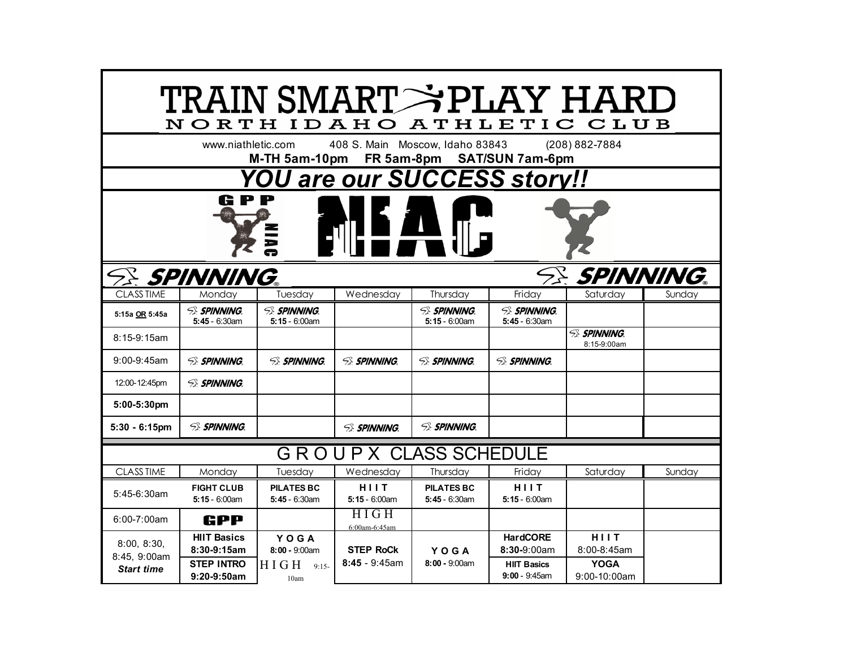| TRAIN SMART→PLAY HARI<br><b>ATHLETIC</b><br>CLUB<br>NORTH<br>IDAHO |                                       |                                       |                                 |                                       |                                        |                                    |        |
|--------------------------------------------------------------------|---------------------------------------|---------------------------------------|---------------------------------|---------------------------------------|----------------------------------------|------------------------------------|--------|
|                                                                    | www.niathletic.com                    | M-TH 5am-10pm                         | 408 S. Main Moscow, Idaho 83843 |                                       | FR 5am-8pm SAT/SUN 7am-6pm             | (208) 882-7884                     |        |
| <b>YOU are our SUCCESS story!!</b>                                 |                                       |                                       |                                 |                                       |                                        |                                    |        |
| G                                                                  |                                       |                                       |                                 |                                       |                                        |                                    |        |
|                                                                    | <b>SE SPINNING.</b>                   |                                       |                                 |                                       |                                        | <i>SE SPINNING.</i>                |        |
| <b>CLASS TIME</b>                                                  | Mondav                                | Tuesday                               | Wednesday                       | Thursday                              | Friday                                 | Saturdav                           | Sundav |
| 5:15a OR 5:45a                                                     | <b>SE SPINNING</b><br>$5:45 - 6:30am$ | <b>SE SPINNING</b><br>$5:15 - 6:00am$ |                                 | <b>SE SPINNING</b><br>$5:15 - 6:00am$ | <b>SE SPINNING</b><br>$5:45 - 6:30$ am |                                    |        |
| $8:15-9:15am$                                                      |                                       |                                       |                                 |                                       |                                        | <b>SE SPINNING.</b><br>8:15-9:00am |        |
| $9:00 - 9:45$ am                                                   | <b>SE SPINNING</b>                    | <b>SE SPINNING</b>                    | <b>SE SPINNING</b>              | <b>SE SPINNING</b>                    | <b>SE SPINNING</b>                     |                                    |        |
| 12:00-12:45pm                                                      | <b>SE SPINNING.</b>                   |                                       |                                 |                                       |                                        |                                    |        |
| 5:00-5:30pm                                                        |                                       |                                       |                                 |                                       |                                        |                                    |        |
| $5:30 - 6:15$ pm                                                   | <b>SE SPINNING.</b>                   |                                       | <b>SE SPINNING.</b>             | <b>SE SPINNING.</b>                   |                                        |                                    |        |
| GROUPX CLASS SCHEDULE                                              |                                       |                                       |                                 |                                       |                                        |                                    |        |
| <b>CLASS TIME</b>                                                  | Monday                                | Tuesday                               | Wednesday                       | Thursday                              | Friday                                 | Saturday                           | Sunday |
| 5:45-6:30am                                                        | <b>FIGHT CLUB</b><br>$5:15 - 6:00am$  | <b>PILATES BC</b><br>$5:45 - 6:30$ am | HIIT<br>$5:15 - 6:00am$         | <b>PILATES BC</b><br>$5:45 - 6:30am$  | HIIT<br>$5:15 - 6:00am$                |                                    |        |
| 6:00-7:00am                                                        | GPP                                   |                                       | <b>HIGH</b><br>6:00am-6:45am    |                                       |                                        |                                    |        |
| 8:00, 8:30,<br>8:45, 9:00am                                        | <b>HIIT Basics</b>                    | YOGA                                  |                                 |                                       | <b>HardCORE</b>                        | HIIT                               |        |
|                                                                    | 8:30-9:15am                           | $8:00 - 9:00am$                       | <b>STEP RoCk</b>                | YOGA                                  | 8:30-9:00am                            | 8:00-8:45am                        |        |
| <b>Start time</b>                                                  | <b>STEP INTRO</b><br>9:20-9:50am      | HIGH<br>$9:15-$<br>10am               | $8:45 - 9:45am$                 | $8:00 - 9:00$ am                      | <b>HIIT Basics</b><br>$9:00 - 9:45$ am | <b>YOGA</b><br>9:00-10:00am        |        |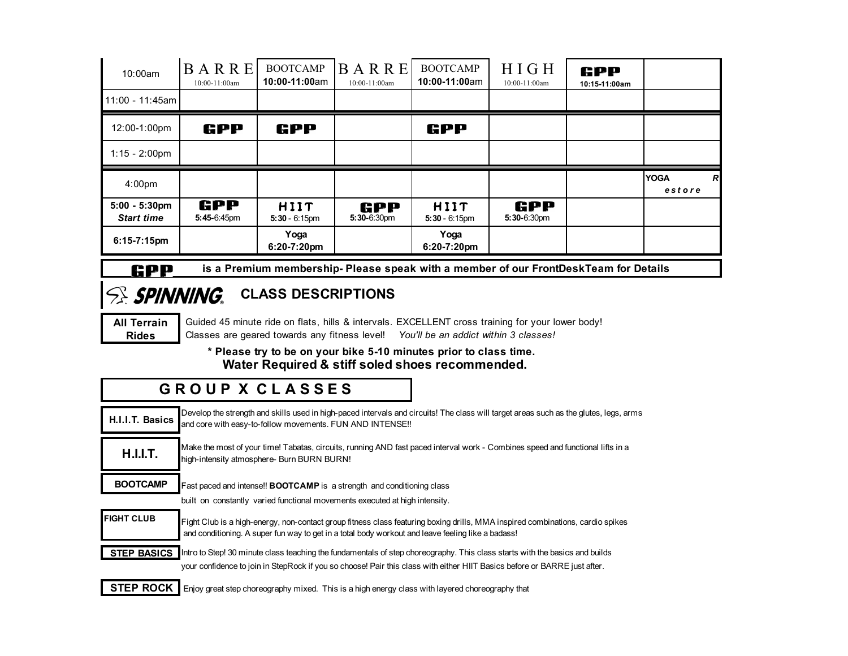| 10:00am                               | BARRE<br>10:00-11:00am | <b>BOOTCAMP</b><br>10:00-11:00am | BARRE<br>10:00-11:00am | <b>BOOTCAMP</b><br>10:00-11:00am | HIGH<br>10:00-11:00am | GPP<br>10:15-11:00am |                                         |
|---------------------------------------|------------------------|----------------------------------|------------------------|----------------------------------|-----------------------|----------------------|-----------------------------------------|
| 11:00 - 11:45am                       |                        |                                  |                        |                                  |                       |                      |                                         |
| 12:00-1:00pm                          | GPP                    | GPP                              |                        | GPP                              |                       |                      |                                         |
| $1:15 - 2:00 \text{pm}$               |                        |                                  |                        |                                  |                       |                      |                                         |
|                                       |                        |                                  |                        |                                  |                       |                      |                                         |
| 4:00 <sub>pm</sub>                    |                        |                                  |                        |                                  |                       |                      | <b>YOGA</b><br>$\overline{R}$<br>estore |
| $5:00 - 5:30$ pm<br><b>Start time</b> | GPP<br>5:45-6:45pm     | HIIT<br>$5:30 - 6:15$ pm         | GPP<br>$5:30-6:30$ pm  | HIIT<br>$5:30 - 6:15$ pm         | GPP<br>$5:30-6:30$ pm |                      |                                         |

#### **CPP** is a Premium membership- Please speak with a member of our FrontDeskTeam for Details

# **SRINNING** CLASS DESCRIPTIONS

**All Terrain** Guided 45 minute ride on flats, hills & intervals. EXCELLENT cross training for your lower body! **Rides** Classes are geared towards any fitness level! *You'll be an addict within 3 classes!*

> **\* Please try to be on your bike 5-10 minutes prior to class time. Water Required & stiff soled shoes recommended.**

### **G R O U P X C L A S S E S**

| H.I.I.T. Basics    | Develop the strength and skills used in high-paced intervals and circuits! The class will target areas such as the glutes, legs, arms<br>and core with easy-to-follow movements. FUN AND INTENSE !!                                                      |
|--------------------|----------------------------------------------------------------------------------------------------------------------------------------------------------------------------------------------------------------------------------------------------------|
| <b>H.I.I.T.</b>    | Make the most of your time! Tabatas, circuits, running AND fast paced interval work - Combines speed and functional lifts in a<br>high-intensity atmosphere- Burn BURN BURN!                                                                             |
| <b>BOOTCAMP</b>    | Fast paced and intense!! BOOTCAMP is a strength and conditioning class<br>built on constantly varied functional movements executed at high intensity.                                                                                                    |
|                    |                                                                                                                                                                                                                                                          |
| <b>FIGHT CLUB</b>  | Fight Club is a high-energy, non-contact group fitness class featuring boxing drills, MMA inspired combinations, cardio spikes<br>and conditioning. A super fun way to get in a total body workout and leave feeling like a badass!                      |
| <b>STEP BASICS</b> | Intro to Step! 30 minute class teaching the fundamentals of step choreography. This class starts with the basics and builds<br>your confidence to join in StepRock if you so choose! Pair this class with either HIIT Basics before or BARRE just after. |
| <b>STEP ROCK I</b> | Enjoy great step choreography mixed. This is a high energy class with layered choreography that                                                                                                                                                          |